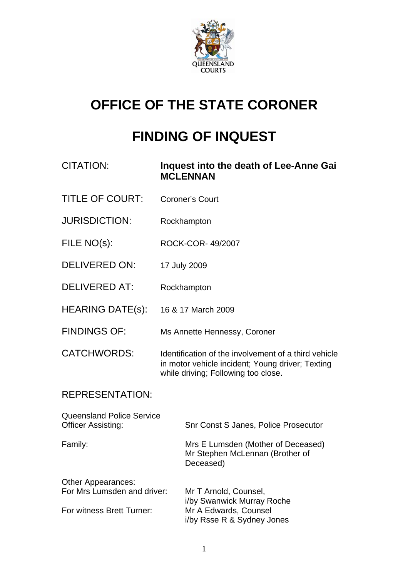

# **OFFICE OF THE STATE CORONER**

## **FINDING OF INQUEST**

| <b>CITATION:</b>                                              | Inquest into the death of Lee-Anne Gai<br><b>MCLENNAN</b>                                                                                       |                                                                                    |
|---------------------------------------------------------------|-------------------------------------------------------------------------------------------------------------------------------------------------|------------------------------------------------------------------------------------|
| <b>TITLE OF COURT:</b>                                        | <b>Coroner's Court</b>                                                                                                                          |                                                                                    |
| <b>JURISDICTION:</b>                                          | Rockhampton                                                                                                                                     |                                                                                    |
| FILE NO(s):                                                   | ROCK-COR-49/2007                                                                                                                                |                                                                                    |
| <b>DELIVERED ON:</b>                                          | 17 July 2009                                                                                                                                    |                                                                                    |
| <b>DELIVERED AT:</b>                                          | Rockhampton                                                                                                                                     |                                                                                    |
| <b>HEARING DATE(s):</b>                                       | 16 & 17 March 2009                                                                                                                              |                                                                                    |
| <b>FINDINGS OF:</b>                                           | Ms Annette Hennessy, Coroner                                                                                                                    |                                                                                    |
| <b>CATCHWORDS:</b>                                            | Identification of the involvement of a third vehicle<br>in motor vehicle incident; Young driver; Texting<br>while driving; Following too close. |                                                                                    |
| <b>REPRESENTATION:</b>                                        |                                                                                                                                                 |                                                                                    |
| <b>Queensland Police Service</b><br><b>Officer Assisting:</b> |                                                                                                                                                 | Snr Const S Janes, Police Prosecutor                                               |
| Family:                                                       |                                                                                                                                                 | Mrs E Lumsden (Mother of Deceased)<br>Mr Stephen McLennan (Brother of<br>Deceased) |
| Other Appearances:<br>For Mrs Lumsden and driver:             |                                                                                                                                                 | Mr T Arnold, Counsel,<br>i/by Swanwick Murray Roche                                |
| For witness Brett Turner:                                     |                                                                                                                                                 | Mr A Edwards, Counsel<br>i/by Rsse R & Sydney Jones                                |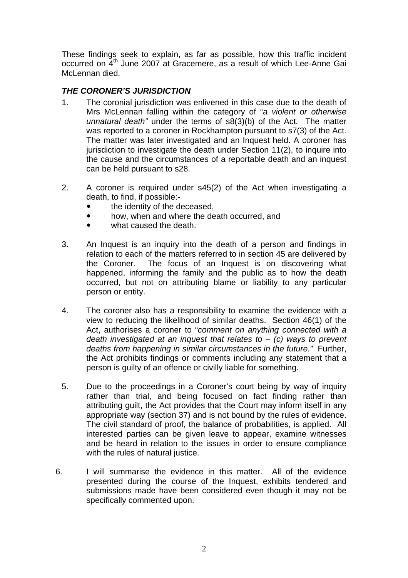These findings seek to explain, as far as possible, how this traffic incident occurred on 4<sup>th</sup> June 2007 at Gracemere, as a result of which Lee-Anne Gai McLennan died.

#### *THE CORONER'S JURISDICTION*

- 1. The coronial jurisdiction was enlivened in this case due to the death of Mrs McLennan falling within the category of "*a violent or otherwise unnatural death"* under the terms of s8(3)(b) of the Act. The matter was reported to a coroner in Rockhampton pursuant to s7(3) of the Act. The matter was later investigated and an Inquest held. A coroner has jurisdiction to investigate the death under Section 11(2), to inquire into the cause and the circumstances of a reportable death and an inquest can be held pursuant to s28.
- 2. A coroner is required under s45(2) of the Act when investigating a death, to find, if possible:
	- the identity of the deceased,
	- how, when and where the death occurred, and
	- what caused the death.
- 3. An Inquest is an inquiry into the death of a person and findings in relation to each of the matters referred to in section 45 are delivered by the Coroner. The focus of an Inquest is on discovering what happened, informing the family and the public as to how the death occurred, but not on attributing blame or liability to any particular person or entity.
- 4. The coroner also has a responsibility to examine the evidence with a view to reducing the likelihood of similar deaths. Section 46(1) of the Act, authorises a coroner to "*comment on anything connected with a death investigated at an inquest that relates to* – *(c) ways to prevent deaths from happening in similar circumstances in the future."* Further, the Act prohibits findings or comments including any statement that a person is guilty of an offence or civilly liable for something.
- 5. Due to the proceedings in a Coroner's court being by way of inquiry rather than trial, and being focused on fact finding rather than attributing guilt, the Act provides that the Court may inform itself in any appropriate way (section 37) and is not bound by the rules of evidence. The civil standard of proof, the balance of probabilities, is applied. All interested parties can be given leave to appear, examine witnesses and be heard in relation to the issues in order to ensure compliance with the rules of natural justice.
- 6. I will summarise the evidence in this matter. All of the evidence presented during the course of the Inquest, exhibits tendered and submissions made have been considered even though it may not be specifically commented upon.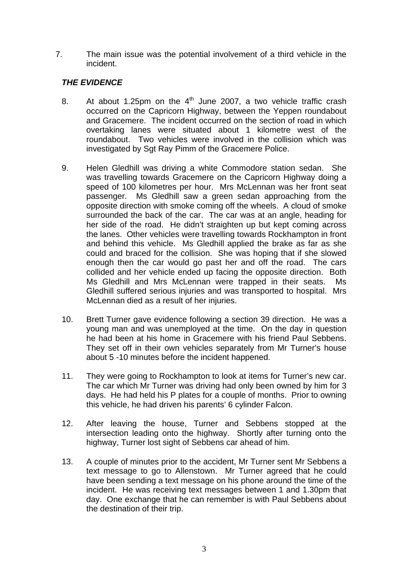7. The main issue was the potential involvement of a third vehicle in the incident.

### *THE EVIDENCE*

- 8. At about 1.25pm on the  $4<sup>th</sup>$  June 2007, a two vehicle traffic crash occurred on the Capricorn Highway, between the Yeppen roundabout and Gracemere. The incident occurred on the section of road in which overtaking lanes were situated about 1 kilometre west of the roundabout. Two vehicles were involved in the collision which was investigated by Sgt Ray Pimm of the Gracemere Police.
- 9. Helen Gledhill was driving a white Commodore station sedan. She was travelling towards Gracemere on the Capricorn Highway doing a speed of 100 kilometres per hour. Mrs McLennan was her front seat passenger. Ms Gledhill saw a green sedan approaching from the opposite direction with smoke coming off the wheels. A cloud of smoke surrounded the back of the car. The car was at an angle, heading for her side of the road. He didn't straighten up but kept coming across the lanes. Other vehicles were travelling towards Rockhampton in front and behind this vehicle. Ms Gledhill applied the brake as far as she could and braced for the collision. She was hoping that if she slowed enough then the car would go past her and off the road. The cars collided and her vehicle ended up facing the opposite direction. Both Ms Gledhill and Mrs McLennan were trapped in their seats. Ms Gledhill suffered serious injuries and was transported to hospital. Mrs McLennan died as a result of her injuries.
- 10. Brett Turner gave evidence following a section 39 direction. He was a young man and was unemployed at the time. On the day in question he had been at his home in Gracemere with his friend Paul Sebbens. They set off in their own vehicles separately from Mr Turner's house about 5 -10 minutes before the incident happened.
- 11. They were going to Rockhampton to look at items for Turner's new car. The car which Mr Turner was driving had only been owned by him for 3 days. He had held his P plates for a couple of months. Prior to owning this vehicle, he had driven his parents' 6 cylinder Falcon.
- 12. After leaving the house, Turner and Sebbens stopped at the intersection leading onto the highway. Shortly after turning onto the highway, Turner lost sight of Sebbens car ahead of him.
- 13. A couple of minutes prior to the accident, Mr Turner sent Mr Sebbens a text message to go to Allenstown. Mr Turner agreed that he could have been sending a text message on his phone around the time of the incident. He was receiving text messages between 1 and 1.30pm that day. One exchange that he can remember is with Paul Sebbens about the destination of their trip.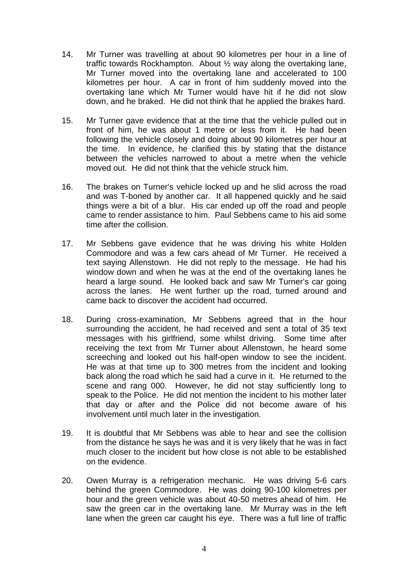- 14. Mr Turner was travelling at about 90 kilometres per hour in a line of traffic towards Rockhampton. About ½ way along the overtaking lane, Mr Turner moved into the overtaking lane and accelerated to 100 kilometres per hour. A car in front of him suddenly moved into the overtaking lane which Mr Turner would have hit if he did not slow down, and he braked. He did not think that he applied the brakes hard.
- 15. Mr Turner gave evidence that at the time that the vehicle pulled out in front of him, he was about 1 metre or less from it. He had been following the vehicle closely and doing about 90 kilometres per hour at the time. In evidence, he clarified this by stating that the distance between the vehicles narrowed to about a metre when the vehicle moved out. He did not think that the vehicle struck him.
- 16. The brakes on Turner's vehicle locked up and he slid across the road and was T-boned by another car. It all happened quickly and he said things were a bit of a blur. His car ended up off the road and people came to render assistance to him. Paul Sebbens came to his aid some time after the collision.
- 17. Mr Sebbens gave evidence that he was driving his white Holden Commodore and was a few cars ahead of Mr Turner. He received a text saying Allenstown. He did not reply to the message. He had his window down and when he was at the end of the overtaking lanes he heard a large sound. He looked back and saw Mr Turner's car going across the lanes. He went further up the road, turned around and came back to discover the accident had occurred.
- 18. During cross-examination, Mr Sebbens agreed that in the hour surrounding the accident, he had received and sent a total of 35 text messages with his girlfriend, some whilst driving. Some time after receiving the text from Mr Turner about Allenstown, he heard some screeching and looked out his half-open window to see the incident. He was at that time up to 300 metres from the incident and looking back along the road which he said had a curve in it. He returned to the scene and rang 000. However, he did not stay sufficiently long to speak to the Police. He did not mention the incident to his mother later that day or after and the Police did not become aware of his involvement until much later in the investigation.
- 19. It is doubtful that Mr Sebbens was able to hear and see the collision from the distance he says he was and it is very likely that he was in fact much closer to the incident but how close is not able to be established on the evidence.
- 20. Owen Murray is a refrigeration mechanic. He was driving 5-6 cars behind the green Commodore. He was doing 90-100 kilometres per hour and the green vehicle was about 40-50 metres ahead of him. He saw the green car in the overtaking lane. Mr Murray was in the left lane when the green car caught his eye. There was a full line of traffic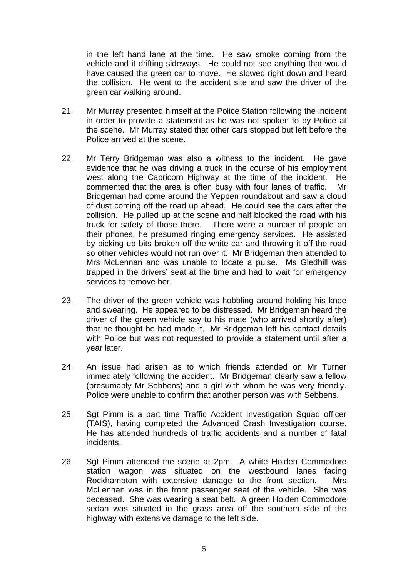in the left hand lane at the time. He saw smoke coming from the vehicle and it drifting sideways. He could not see anything that would have caused the green car to move. He slowed right down and heard the collision. He went to the accident site and saw the driver of the green car walking around.

- 21. Mr Murray presented himself at the Police Station following the incident in order to provide a statement as he was not spoken to by Police at the scene. Mr Murray stated that other cars stopped but left before the Police arrived at the scene.
- 22. Mr Terry Bridgeman was also a witness to the incident. He gave evidence that he was driving a truck in the course of his employment west along the Capricorn Highway at the time of the incident. He commented that the area is often busy with four lanes of traffic. Mr Bridgeman had come around the Yeppen roundabout and saw a cloud of dust coming off the road up ahead. He could see the cars after the collision. He pulled up at the scene and half blocked the road with his truck for safety of those there. There were a number of people on their phones, he presumed ringing emergency services. He assisted by picking up bits broken off the white car and throwing it off the road so other vehicles would not run over it. Mr Bridgeman then attended to Mrs McLennan and was unable to locate a pulse. Ms Gledhill was trapped in the drivers' seat at the time and had to wait for emergency services to remove her.
- 23. The driver of the green vehicle was hobbling around holding his knee and swearing. He appeared to be distressed. Mr Bridgeman heard the driver of the green vehicle say to his mate (who arrived shortly after) that he thought he had made it. Mr Bridgeman left his contact details with Police but was not requested to provide a statement until after a year later.
- 24. An issue had arisen as to which friends attended on Mr Turner immediately following the accident. Mr Bridgeman clearly saw a fellow (presumably Mr Sebbens) and a girl with whom he was very friendly. Police were unable to confirm that another person was with Sebbens.
- 25. Sgt Pimm is a part time Traffic Accident Investigation Squad officer (TAIS), having completed the Advanced Crash Investigation course. He has attended hundreds of traffic accidents and a number of fatal incidents.
- 26. Sgt Pimm attended the scene at 2pm. A white Holden Commodore station wagon was situated on the westbound lanes facing Rockhampton with extensive damage to the front section. Mrs McLennan was in the front passenger seat of the vehicle. She was deceased. She was wearing a seat belt. A green Holden Commodore sedan was situated in the grass area off the southern side of the highway with extensive damage to the left side.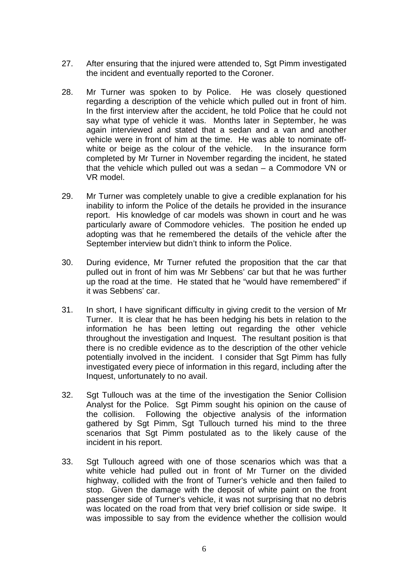- 27. After ensuring that the injured were attended to, Sgt Pimm investigated the incident and eventually reported to the Coroner.
- 28. Mr Turner was spoken to by Police. He was closely questioned regarding a description of the vehicle which pulled out in front of him. In the first interview after the accident, he told Police that he could not say what type of vehicle it was. Months later in September, he was again interviewed and stated that a sedan and a van and another vehicle were in front of him at the time. He was able to nominate offwhite or beige as the colour of the vehicle. In the insurance form completed by Mr Turner in November regarding the incident, he stated that the vehicle which pulled out was a sedan – a Commodore VN or VR model.
- 29. Mr Turner was completely unable to give a credible explanation for his inability to inform the Police of the details he provided in the insurance report. His knowledge of car models was shown in court and he was particularly aware of Commodore vehicles. The position he ended up adopting was that he remembered the details of the vehicle after the September interview but didn't think to inform the Police.
- 30. During evidence, Mr Turner refuted the proposition that the car that pulled out in front of him was Mr Sebbens' car but that he was further up the road at the time. He stated that he "would have remembered" if it was Sebbens' car.
- 31. In short, I have significant difficulty in giving credit to the version of Mr Turner. It is clear that he has been hedging his bets in relation to the information he has been letting out regarding the other vehicle throughout the investigation and Inquest. The resultant position is that there is no credible evidence as to the description of the other vehicle potentially involved in the incident. I consider that Sqt Pimm has fully investigated every piece of information in this regard, including after the Inquest, unfortunately to no avail.
- 32. Sgt Tullouch was at the time of the investigation the Senior Collision Analyst for the Police. Sgt Pimm sought his opinion on the cause of the collision. Following the objective analysis of the information gathered by Sgt Pimm, Sgt Tullouch turned his mind to the three scenarios that Sgt Pimm postulated as to the likely cause of the incident in his report.
- 33. Sgt Tullouch agreed with one of those scenarios which was that a white vehicle had pulled out in front of Mr Turner on the divided highway, collided with the front of Turner's vehicle and then failed to stop. Given the damage with the deposit of white paint on the front passenger side of Turner's vehicle, it was not surprising that no debris was located on the road from that very brief collision or side swipe. It was impossible to say from the evidence whether the collision would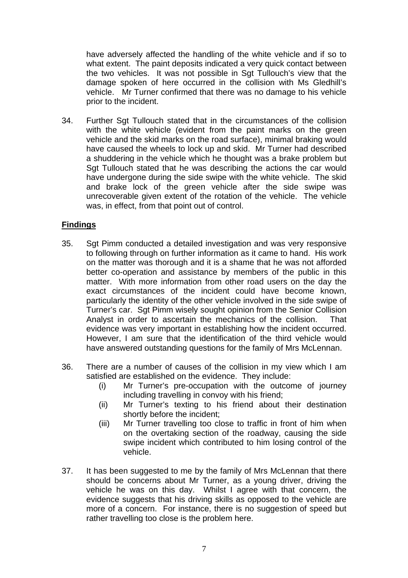have adversely affected the handling of the white vehicle and if so to what extent. The paint deposits indicated a very quick contact between the two vehicles. It was not possible in Sgt Tullouch's view that the damage spoken of here occurred in the collision with Ms Gledhill's vehicle. Mr Turner confirmed that there was no damage to his vehicle prior to the incident.

34. Further Sgt Tullouch stated that in the circumstances of the collision with the white vehicle (evident from the paint marks on the green vehicle and the skid marks on the road surface), minimal braking would have caused the wheels to lock up and skid. Mr Turner had described a shuddering in the vehicle which he thought was a brake problem but Sgt Tullouch stated that he was describing the actions the car would have undergone during the side swipe with the white vehicle. The skid and brake lock of the green vehicle after the side swipe was unrecoverable given extent of the rotation of the vehicle. The vehicle was, in effect, from that point out of control.

#### **Findings**

- 35. Sgt Pimm conducted a detailed investigation and was very responsive to following through on further information as it came to hand. His work on the matter was thorough and it is a shame that he was not afforded better co-operation and assistance by members of the public in this matter. With more information from other road users on the day the exact circumstances of the incident could have become known, particularly the identity of the other vehicle involved in the side swipe of Turner's car. Sgt Pimm wisely sought opinion from the Senior Collision Analyst in order to ascertain the mechanics of the collision. That evidence was very important in establishing how the incident occurred. However, I am sure that the identification of the third vehicle would have answered outstanding questions for the family of Mrs McLennan.
- 36. There are a number of causes of the collision in my view which I am satisfied are established on the evidence. They include:
	- (i) Mr Turner's pre-occupation with the outcome of journey including travelling in convoy with his friend;
	- (ii) Mr Turner's texting to his friend about their destination shortly before the incident;
	- (iii) Mr Turner travelling too close to traffic in front of him when on the overtaking section of the roadway, causing the side swipe incident which contributed to him losing control of the vehicle.
- 37. It has been suggested to me by the family of Mrs McLennan that there should be concerns about Mr Turner, as a young driver, driving the vehicle he was on this day. Whilst I agree with that concern, the evidence suggests that his driving skills as opposed to the vehicle are more of a concern. For instance, there is no suggestion of speed but rather travelling too close is the problem here.